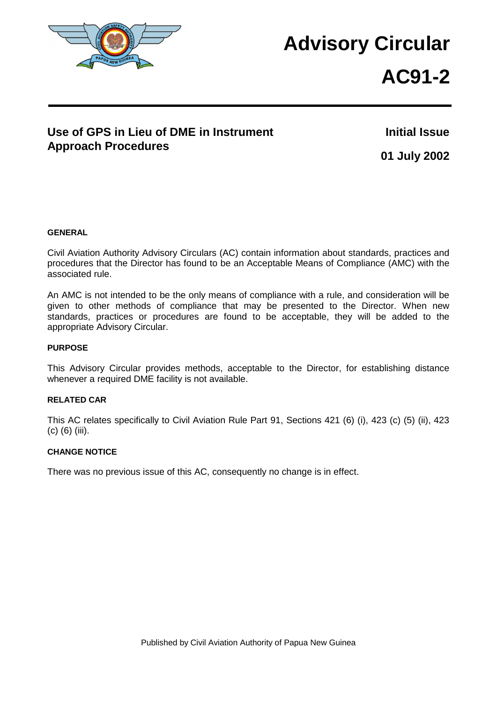

## **Advisory Circular**

# **AC91-2**

## **Use of GPS in Lieu of DME in Instrument Approach Procedures**

**Initial Issue 01 July 2002**

#### **GENERAL**

Civil Aviation Authority Advisory Circulars (AC) contain information about standards, practices and procedures that the Director has found to be an Acceptable Means of Compliance (AMC) with the associated rule.

An AMC is not intended to be the only means of compliance with a rule, and consideration will be given to other methods of compliance that may be presented to the Director. When new standards, practices or procedures are found to be acceptable, they will be added to the appropriate Advisory Circular.

#### **PURPOSE**

This Advisory Circular provides methods, acceptable to the Director, for establishing distance whenever a required DME facility is not available.

#### **RELATED CAR**

This AC relates specifically to Civil Aviation Rule Part 91, Sections 421 (6) (i), 423 (c) (5) (ii), 423 (c) (6) (iii).

#### **CHANGE NOTICE**

There was no previous issue of this AC, consequently no change is in effect.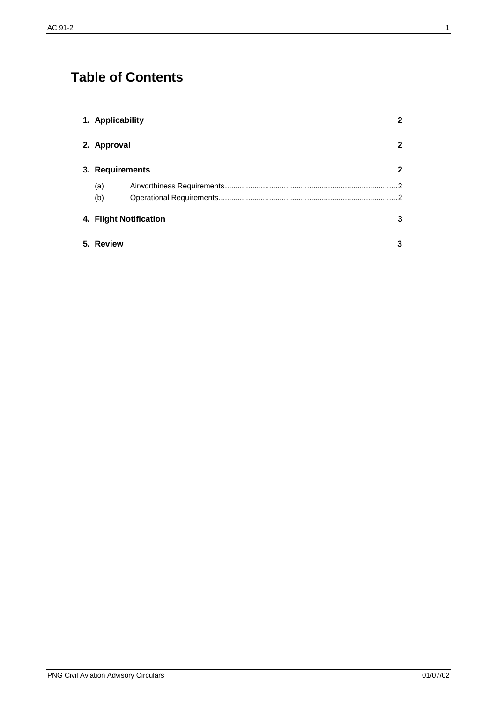## **Table of Contents**

| 1. Applicability |                        | $\mathbf{2}$ |
|------------------|------------------------|--------------|
| 2. Approval      |                        | 2            |
| 3. Requirements  |                        | $\mathbf 2$  |
| (a)              |                        | . 2          |
| (b)              |                        | 2            |
|                  | 4. Flight Notification | 3            |
| 5. Review        |                        | 3            |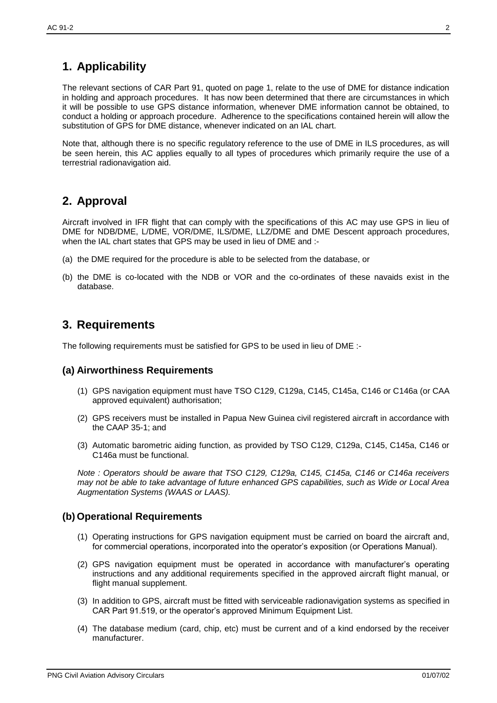## <span id="page-2-0"></span>**1. Applicability**

The relevant sections of CAR Part 91, quoted on page 1, relate to the use of DME for distance indication in holding and approach procedures. It has now been determined that there are circumstances in which it will be possible to use GPS distance information, whenever DME information cannot be obtained, to conduct a holding or approach procedure. Adherence to the specifications contained herein will allow the substitution of GPS for DME distance, whenever indicated on an IAL chart.

Note that, although there is no specific regulatory reference to the use of DME in ILS procedures, as will be seen herein, this AC applies equally to all types of procedures which primarily require the use of a terrestrial radionavigation aid.

## <span id="page-2-1"></span>**2. Approval**

Aircraft involved in IFR flight that can comply with the specifications of this AC may use GPS in lieu of DME for NDB/DME, L/DME, VOR/DME, ILS/DME, LLZ/DME and DME Descent approach procedures, when the IAL chart states that GPS may be used in lieu of DME and :-

- (a) the DME required for the procedure is able to be selected from the database, or
- (b) the DME is co-located with the NDB or VOR and the co-ordinates of these navaids exist in the database.

## <span id="page-2-2"></span>**3. Requirements**

The following requirements must be satisfied for GPS to be used in lieu of DME :-

#### <span id="page-2-3"></span>**(a) Airworthiness Requirements**

- (1) GPS navigation equipment must have TSO C129, C129a, C145, C145a, C146 or C146a (or CAA approved equivalent) authorisation;
- (2) GPS receivers must be installed in Papua New Guinea civil registered aircraft in accordance with the CAAP 35-1; and
- (3) Automatic barometric aiding function, as provided by TSO C129, C129a, C145, C145a, C146 or C146a must be functional.

*Note : Operators should be aware that TSO C129, C129a, C145, C145a, C146 or C146a receivers may not be able to take advantage of future enhanced GPS capabilities, such as Wide or Local Area Augmentation Systems (WAAS or LAAS).* 

#### <span id="page-2-4"></span>**(b) Operational Requirements**

- (1) Operating instructions for GPS navigation equipment must be carried on board the aircraft and, for commercial operations, incorporated into the operator's exposition (or Operations Manual).
- (2) GPS navigation equipment must be operated in accordance with manufacturer's operating instructions and any additional requirements specified in the approved aircraft flight manual, or flight manual supplement.
- (3) In addition to GPS, aircraft must be fitted with serviceable radionavigation systems as specified in CAR Part 91.519, or the operator's approved Minimum Equipment List.
- (4) The database medium (card, chip, etc) must be current and of a kind endorsed by the receiver manufacturer.